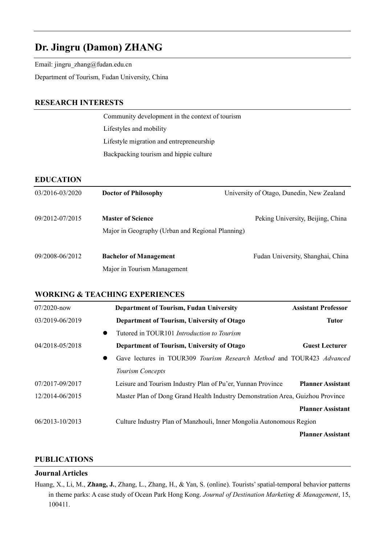# **Dr. Jingru (Damon) ZHANG**

Email: jingru\_zhang@fudan.edu.cn

Department of Tourism, Fudan University, China

### **RESEARCH INTERESTS**

Community development in the context of tourism Lifestyles and mobility Lifestyle migration and entrepreneurship Backpacking tourism and hippie culture

## **EDUCATION**

| 03/2016-03/2020 | <b>Doctor of Philosophy</b>                                                  | University of Otago, Dunedin, New Zealand |  |
|-----------------|------------------------------------------------------------------------------|-------------------------------------------|--|
| 09/2012-07/2015 | <b>Master of Science</b><br>Major in Geography (Urban and Regional Planning) | Peking University, Beijing, China         |  |
| 09/2008-06/2012 | <b>Bachelor of Management</b><br>Major in Tourism Management                 | Fudan University, Shanghai, China         |  |

## **WORKING & TEACHING EXPERIENCES**

| 07/2020-now     | <b>Department of Tourism, Fudan University</b>                                 | <b>Assistant Professor</b> |
|-----------------|--------------------------------------------------------------------------------|----------------------------|
| 03/2019-06/2019 | Department of Tourism, University of Otago                                     | <b>Tutor</b>               |
| $\bullet$       | Tutored in TOUR101 Introduction to Tourism                                     |                            |
| 04/2018-05/2018 | Department of Tourism, University of Otago                                     | <b>Guest Lecturer</b>      |
| $\bullet$       | Gave lectures in TOUR309 Tourism Research Method and TOUR423 Advanced          |                            |
|                 | Tourism Concepts                                                               |                            |
| 07/2017-09/2017 | Leisure and Tourism Industry Plan of Pu'er, Yunnan Province                    | <b>Planner Assistant</b>   |
| 12/2014-06/2015 | Master Plan of Dong Grand Health Industry Demonstration Area, Guizhou Province |                            |
|                 |                                                                                | <b>Planner Assistant</b>   |
| 06/2013-10/2013 | Culture Industry Plan of Manzhouli, Inner Mongolia Autonomous Region           |                            |
|                 |                                                                                | <b>Planner Assistant</b>   |

### **PUBLICATIONS**

#### **Journal Articles**

Huang, X., Li, M., **Zhang, J.**, Zhang, L., Zhang, H., & Yan, S. (online). Tourists' spatial-temporal behavior patterns in theme parks: A case study of Ocean Park Hong Kong. *Journal of Destination Marketing & Management*, 15, 100411.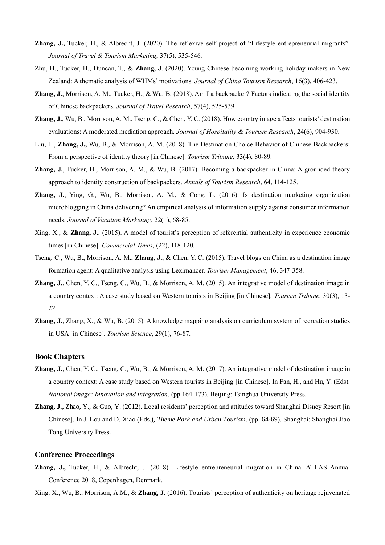- **Zhang, J.,** Tucker, H., & Albrecht, J. (2020). The reflexive self-project of "Lifestyle entrepreneurial migrants". *Journal of Travel & Tourism Marketing*, 37(5), 535-546.
- Zhu, H., Tucker, H., Duncan, T., & **Zhang, J**. (2020). Young Chinese becoming working holiday makers in New Zealand: A thematic analysis of WHMs' motivations. *Journal of China Tourism Research*, 16(3), 406-423.
- **Zhang, J.**, Morrison, A. M., Tucker, H., & Wu, B. (2018). Am I a backpacker? Factors indicating the social identity of Chinese backpackers. *Journal of Travel Research*, 57(4), 525-539.
- **Zhang, J.**, Wu, B., Morrison, A. M., Tseng, C., & Chen, Y. C. (2018). How country image affects tourists' destination evaluations: A moderated mediation approach. *Journal of Hospitality & Tourism Research*, 24(6), 904-930.
- Liu, L., **Zhang, J.,** Wu, B., & Morrison, A. M. (2018). The Destination Choice Behavior of Chinese Backpackers: From a perspective of identity theory [in Chinese]. *Tourism Tribune*, 33(4), 80-89.
- **Zhang, J.**, Tucker, H., Morrison, A. M., & Wu, B. (2017). Becoming a backpacker in China: A grounded theory approach to identity construction of backpackers. *Annals of Tourism Research*, 64, 114-125.
- **Zhang, J.**, Ying, G., Wu, B., Morrison, A. M., & Cong, L. (2016). Is destination marketing organization microblogging in China delivering? An empirical analysis of information supply against consumer information needs. *Journal of Vacation Marketing*, 22(1), 68-85.
- Xing, X., & **Zhang, J.**. (2015). A model of tourist's perception of referential authenticity in experience economic times [in Chinese]. *Commercial Times*, (22), 118-120.
- Tseng, C., Wu, B., Morrison, A. M., **Zhang, J.**, & Chen, Y. C. (2015). Travel blogs on China as a destination image formation agent: A qualitative analysis using Leximancer. *Tourism Management*, 46, 347-358.
- **Zhang, J.**, Chen, Y. C., Tseng, C., Wu, B., & Morrison, A. M. (2015). An integrative model of destination image in a country context: A case study based on Western tourists in Beijing [in Chinese]. *Tourism Tribune*, 30(3), 13- 22*.*
- **Zhang, J.**, Zhang, X., & Wu, B. (2015). A knowledge mapping analysis on curriculum system of recreation studies in USA [in Chinese]. *Tourism Science*, 29(1), 76-87.

#### **Book Chapters**

- **Zhang, J.**, Chen, Y. C., Tseng, C., Wu, B., & Morrison, A. M. (2017). An integrative model of destination image in a country context: A case study based on Western tourists in Beijing [in Chinese]. In Fan, H., and Hu, Y. (Eds). *National image: Innovation and integration*. (pp.164-173). Beijing: Tsinghua University Press.
- **Zhang, J.,** Zhao, Y., & Guo, Y. (2012). Local residents' perception and attitudes toward Shanghai Disney Resort [in Chinese]. In J. Lou and D. Xiao (Eds.), *Theme Park and Urban Tourism*. (pp. 64-69). Shanghai: Shanghai Jiao Tong University Press.

#### **Conference Proceedings**

**Zhang, J.,** Tucker, H., & Albrecht, J. (2018). Lifestyle entrepreneurial migration in China. ATLAS Annual Conference 2018, Copenhagen, Denmark.

Xing, X., Wu, B., Morrison, A.M., & **Zhang, J**. (2016). Tourists' perception of authenticity on heritage rejuvenated